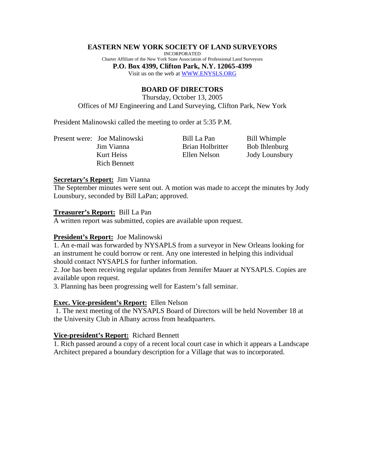#### **EASTERN NEW YORK SOCIETY OF LAND SURVEYORS**

INCORPORATED Charter Affiliate of the New York State Association of Professional Land Surveyors **P.O. Box 4399, Clifton Park, N.Y. 12065-4399** Visit us on the web at WWW.ENYSLS.ORG

# **BOARD OF DIRECTORS**

Thursday, October 13, 2005 Offices of MJ Engineering and Land Surveying, Clifton Park, New York

President Malinowski called the meeting to order at 5:35 P.M.

Present were: Joe Malinowski Bill La Pan Bill Whimple Rich Bennett

Jim Vianna Brian Holbritter Bob Ihlenburg Kurt Heiss Ellen Nelson Jody Lounsbury

#### **Secretary's Report:** Jim Vianna

The September minutes were sent out. A motion was made to accept the minutes by Jody Lounsbury, seconded by Bill LaPan; approved.

#### **Treasurer's Report:** Bill La Pan

A written report was submitted, copies are available upon request.

## **President's Report:** Joe Malinowski

1. An e-mail was forwarded by NYSAPLS from a surveyor in New Orleans looking for an instrument he could borrow or rent. Any one interested in helping this individual should contact NYSAPLS for further information.

2. Joe has been receiving regular updates from Jennifer Mauer at NYSAPLS. Copies are available upon request.

3. Planning has been progressing well for Eastern's fall seminar.

## **Exec. Vice-president's Report:** Ellen Nelson

 1. The next meeting of the NYSAPLS Board of Directors will be held November 18 at the University Club in Albany across from headquarters.

## **Vice-president's Report:** Richard Bennett

1. Rich passed around a copy of a recent local court case in which it appears a Landscape Architect prepared a boundary description for a Village that was to incorporated.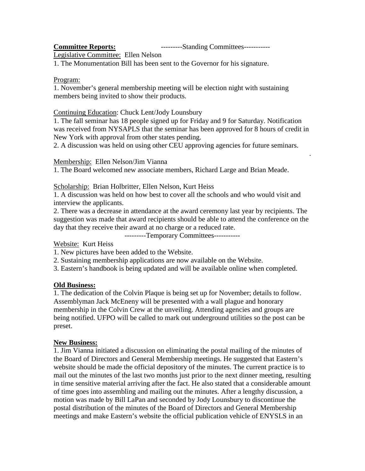**Committee Reports:** ---------Standing Committees-----------

.

Legislative Committee: Ellen Nelson

1. The Monumentation Bill has been sent to the Governor for his signature.

## Program:

1. November's general membership meeting will be election night with sustaining members being invited to show their products.

# Continuing Education: Chuck Lent/Jody Lounsbury

1. The fall seminar has 18 people signed up for Friday and 9 for Saturday. Notification was received from NYSAPLS that the seminar has been approved for 8 hours of credit in New York with approval from other states pending.

2. A discussion was held on using other CEU approving agencies for future seminars.

Membership: Ellen Nelson/Jim Vianna

1. The Board welcomed new associate members, Richard Large and Brian Meade.

Scholarship: Brian Holbritter, Ellen Nelson, Kurt Heiss

1. A discussion was held on how best to cover all the schools and who would visit and interview the applicants.

2. There was a decrease in attendance at the award ceremony last year by recipients. The suggestion was made that award recipients should be able to attend the conference on the day that they receive their award at no charge or a reduced rate.

---------Temporary Committees-----------

Website: Kurt Heiss

1. New pictures have been added to the Website.

2. Sustaining membership applications are now available on the Website.

3. Eastern's handbook is being updated and will be available online when completed.

# **Old Business:**

1. The dedication of the Colvin Plaque is being set up for November; details to follow. Assemblyman Jack McEneny will be presented with a wall plague and honorary membership in the Colvin Crew at the unveiling. Attending agencies and groups are being notified. UFPO will be called to mark out underground utilities so the post can be preset.

# **New Business:**

1. Jim Vianna initiated a discussion on eliminating the postal mailing of the minutes of the Board of Directors and General Membership meetings. He suggested that Eastern's website should be made the official depository of the minutes. The current practice is to mail out the minutes of the last two months just prior to the next dinner meeting, resulting in time sensitive material arriving after the fact. He also stated that a considerable amount of time goes into assembling and mailing out the minutes. After a lengthy discussion, a motion was made by Bill LaPan and seconded by Jody Lounsbury to discontinue the postal distribution of the minutes of the Board of Directors and General Membership meetings and make Eastern's website the official publication vehicle of ENYSLS in an